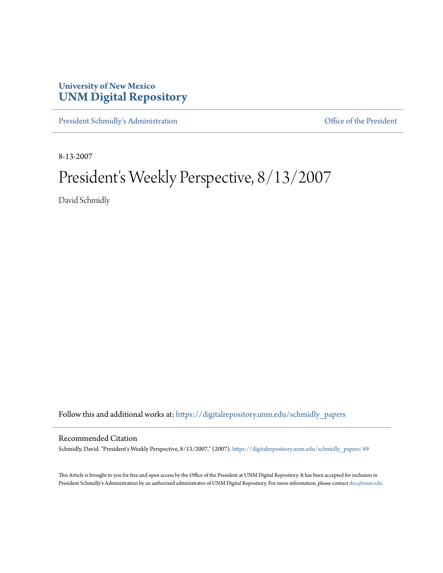## **University of New Mexico [UNM Digital Repository](https://digitalrepository.unm.edu?utm_source=digitalrepository.unm.edu%2Fschmidly_papers%2F49&utm_medium=PDF&utm_campaign=PDFCoverPages)**

[President Schmidly's Administration](https://digitalrepository.unm.edu/schmidly_papers?utm_source=digitalrepository.unm.edu%2Fschmidly_papers%2F49&utm_medium=PDF&utm_campaign=PDFCoverPages) [Office of the President](https://digitalrepository.unm.edu/ofc_president?utm_source=digitalrepository.unm.edu%2Fschmidly_papers%2F49&utm_medium=PDF&utm_campaign=PDFCoverPages)

8-13-2007

## President's Weekly Perspective, 8/13/2007

David Schmidly

Follow this and additional works at: [https://digitalrepository.unm.edu/schmidly\\_papers](https://digitalrepository.unm.edu/schmidly_papers?utm_source=digitalrepository.unm.edu%2Fschmidly_papers%2F49&utm_medium=PDF&utm_campaign=PDFCoverPages)

## Recommended Citation

Schmidly, David. "President's Weekly Perspective, 8/13/2007." (2007). [https://digitalrepository.unm.edu/schmidly\\_papers/49](https://digitalrepository.unm.edu/schmidly_papers/49?utm_source=digitalrepository.unm.edu%2Fschmidly_papers%2F49&utm_medium=PDF&utm_campaign=PDFCoverPages)

This Article is brought to you for free and open access by the Office of the President at UNM Digital Repository. It has been accepted for inclusion in President Schmidly's Administration by an authorized administrator of UNM Digital Repository. For more information, please contact [disc@unm.edu](mailto:disc@unm.edu).